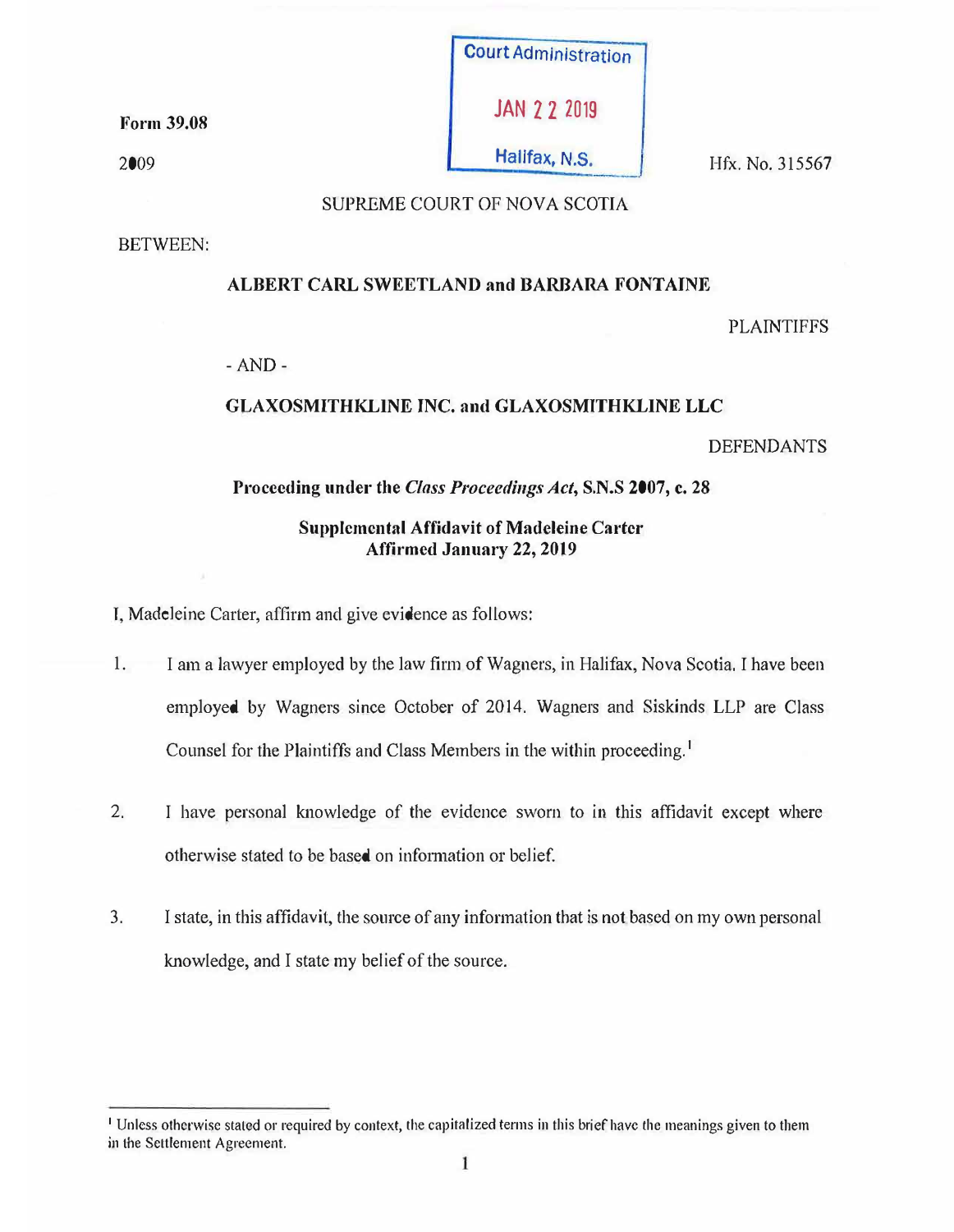Form 39.08

2009



# SUPREME COURT OF NOVA SCOTIA

BETWEEN:

# ALBERT CARL SWEETLAND and BARBARA FONTAINE

PLAINTIFFS

-AND-

# GLAXOSMITHKLINE INC. and GLAXOSMITHKLINE LLC

DEFENDANTS

# Proceeding under the *Class Proceedings Act,* S.N.S 2007, c. 28

# Supplemental Affidavit of Madeleine Carter Affirmed January 22, 2019

I, Madeleine Carter, affirm and give evidence as follows:

- 1. I am a lawyer employed by tbe law firm of Wagners, in Halifax, Nova Scotia. I have been employed by Wagners since October of 2014. Wagners and Siskinds LLP are Class Counsel for the Plaintiffs and Class Members in the within proceeding.<sup>1</sup>
- 2. I have personal knowledge of the evidence sworn to in this affidavit except where otherwise stated to be based on information or belief.
- 3. I state, in this affidavit, the source of any information that is not based on my own personal knowledge, and I state my belief of the source.

<sup>1</sup>Unless otherwise stated or required by context, the capitalized terms in this brief have the meanings given to them in the Settlement Agreement.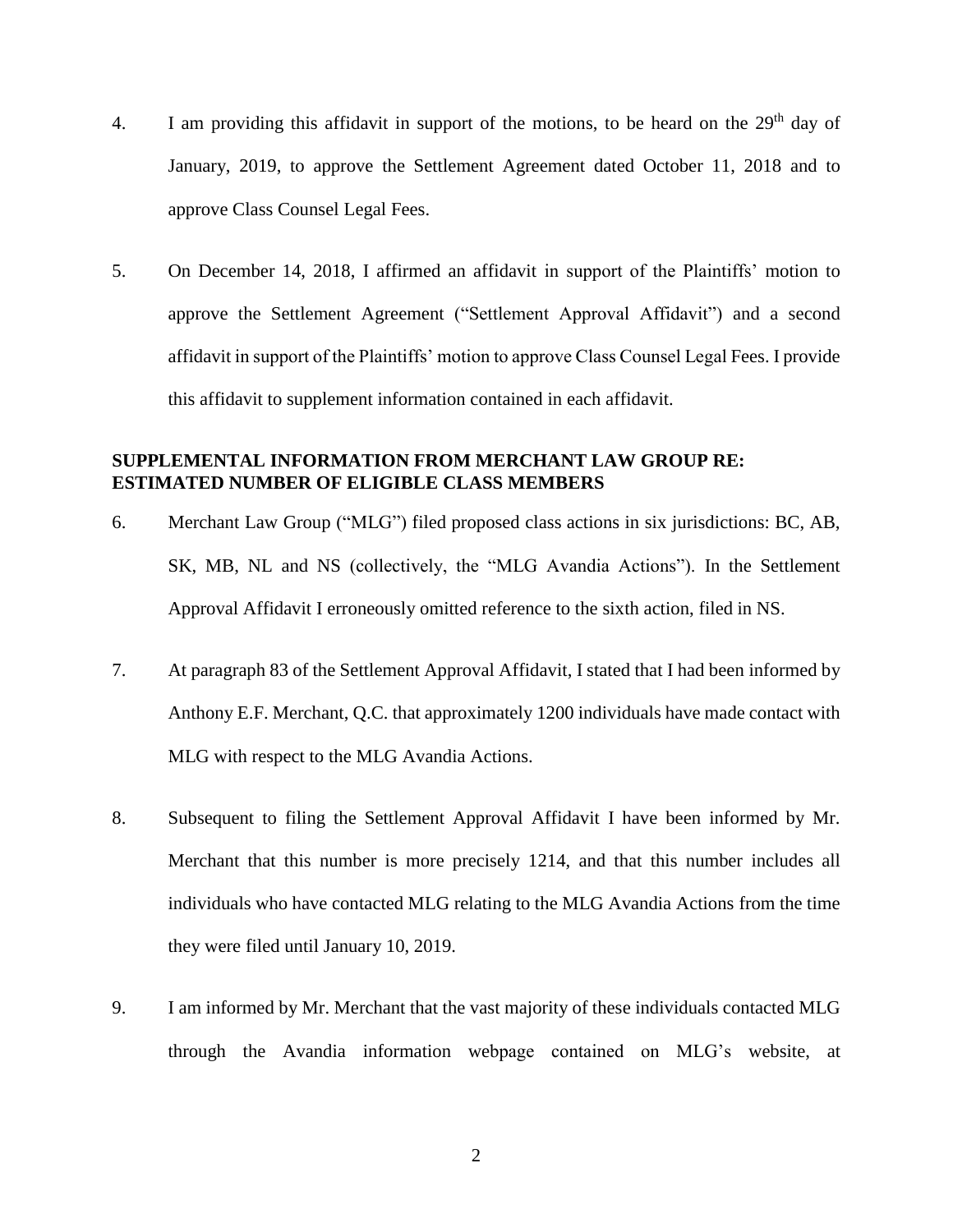- 4. I am providing this affidavit in support of the motions, to be heard on the  $29<sup>th</sup>$  day of January, 2019, to approve the Settlement Agreement dated October 11, 2018 and to approve Class Counsel Legal Fees.
- 5. On December 14, 2018, I affirmed an affidavit in support of the Plaintiffs' motion to approve the Settlement Agreement ("Settlement Approval Affidavit") and a second affidavit in support of the Plaintiffs' motion to approve Class Counsel Legal Fees. I provide this affidavit to supplement information contained in each affidavit.

#### **SUPPLEMENTAL INFORMATION FROM MERCHANT LAW GROUP RE: ESTIMATED NUMBER OF ELIGIBLE CLASS MEMBERS**

- 6. Merchant Law Group ("MLG") filed proposed class actions in six jurisdictions: BC, AB, SK, MB, NL and NS (collectively, the "MLG Avandia Actions"). In the Settlement Approval Affidavit I erroneously omitted reference to the sixth action, filed in NS.
- 7. At paragraph 83 of the Settlement Approval Affidavit, I stated that I had been informed by Anthony E.F. Merchant, Q.C. that approximately 1200 individuals have made contact with MLG with respect to the MLG Avandia Actions.
- 8. Subsequent to filing the Settlement Approval Affidavit I have been informed by Mr. Merchant that this number is more precisely 1214, and that this number includes all individuals who have contacted MLG relating to the MLG Avandia Actions from the time they were filed until January 10, 2019.
- 9. I am informed by Mr. Merchant that the vast majority of these individuals contacted MLG through the Avandia information webpage contained on MLG's website, at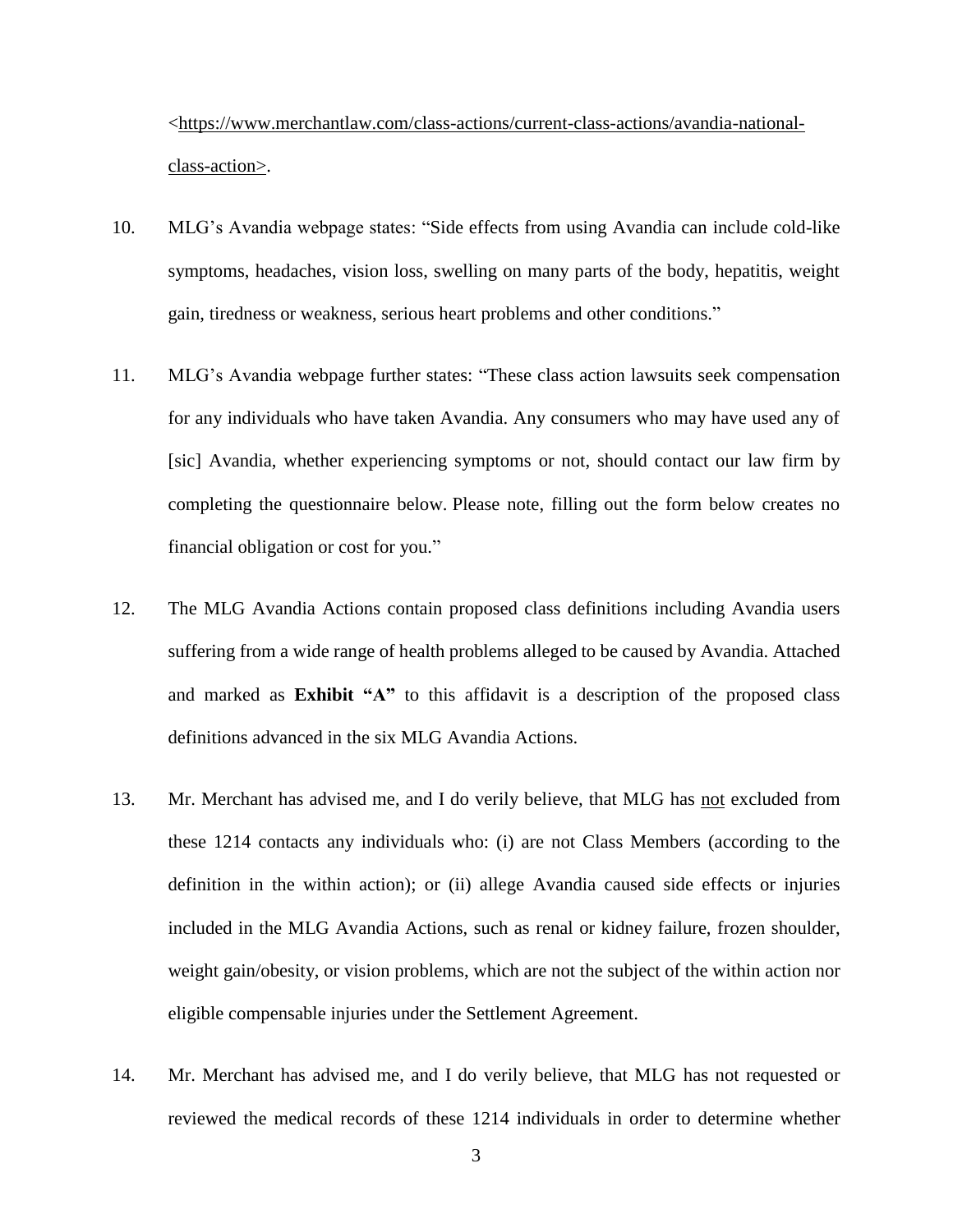[<https://www.merchantlaw.com/class-actions/current-class-actions/avandia-national](https://www.merchantlaw.com/class-actions/current-class-actions/avandia-national-class-action)[class-action>](https://www.merchantlaw.com/class-actions/current-class-actions/avandia-national-class-action).

- 10. MLG's Avandia webpage states: "Side effects from using Avandia can include cold-like symptoms, headaches, vision loss, swelling on many parts of the body, hepatitis, weight gain, tiredness or weakness, serious heart problems and other conditions."
- 11. MLG's Avandia webpage further states: "These class action lawsuits seek compensation for any individuals who have taken Avandia. Any consumers who may have used any of [sic] Avandia, whether experiencing symptoms or not, should contact our law firm by completing the questionnaire below. Please note, filling out the form below creates no financial obligation or cost for you."
- 12. The MLG Avandia Actions contain proposed class definitions including Avandia users suffering from a wide range of health problems alleged to be caused by Avandia. Attached and marked as **Exhibit "A"** to this affidavit is a description of the proposed class definitions advanced in the six MLG Avandia Actions.
- 13. Mr. Merchant has advised me, and I do verily believe, that MLG has not excluded from these 1214 contacts any individuals who: (i) are not Class Members (according to the definition in the within action); or (ii) allege Avandia caused side effects or injuries included in the MLG Avandia Actions, such as renal or kidney failure, frozen shoulder, weight gain/obesity, or vision problems, which are not the subject of the within action nor eligible compensable injuries under the Settlement Agreement.
- 14. Mr. Merchant has advised me, and I do verily believe, that MLG has not requested or reviewed the medical records of these 1214 individuals in order to determine whether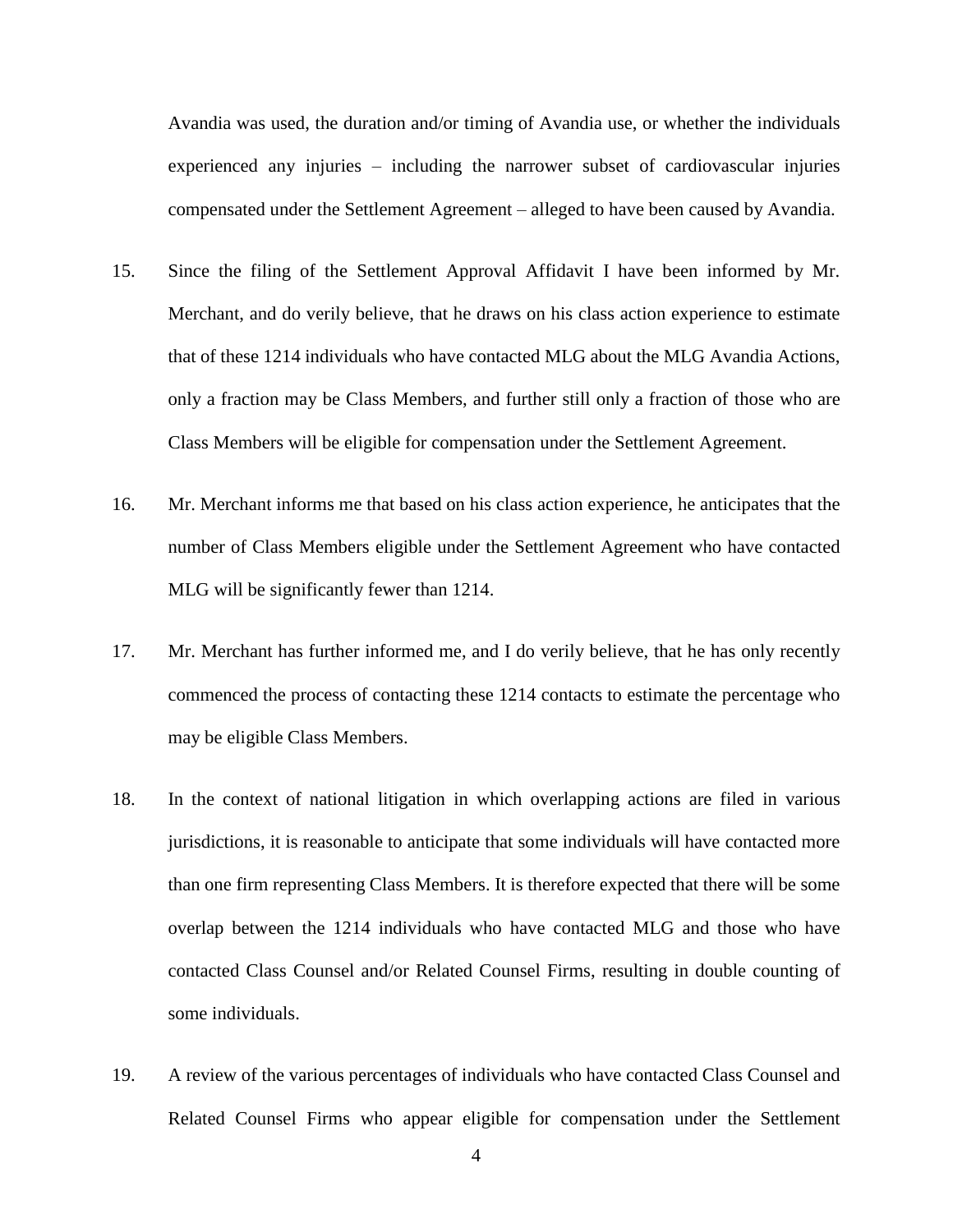Avandia was used, the duration and/or timing of Avandia use, or whether the individuals experienced any injuries – including the narrower subset of cardiovascular injuries compensated under the Settlement Agreement – alleged to have been caused by Avandia.

- 15. Since the filing of the Settlement Approval Affidavit I have been informed by Mr. Merchant, and do verily believe, that he draws on his class action experience to estimate that of these 1214 individuals who have contacted MLG about the MLG Avandia Actions, only a fraction may be Class Members, and further still only a fraction of those who are Class Members will be eligible for compensation under the Settlement Agreement.
- 16. Mr. Merchant informs me that based on his class action experience, he anticipates that the number of Class Members eligible under the Settlement Agreement who have contacted MLG will be significantly fewer than 1214.
- 17. Mr. Merchant has further informed me, and I do verily believe, that he has only recently commenced the process of contacting these 1214 contacts to estimate the percentage who may be eligible Class Members.
- 18. In the context of national litigation in which overlapping actions are filed in various jurisdictions, it is reasonable to anticipate that some individuals will have contacted more than one firm representing Class Members. It is therefore expected that there will be some overlap between the 1214 individuals who have contacted MLG and those who have contacted Class Counsel and/or Related Counsel Firms, resulting in double counting of some individuals.
- 19. A review of the various percentages of individuals who have contacted Class Counsel and Related Counsel Firms who appear eligible for compensation under the Settlement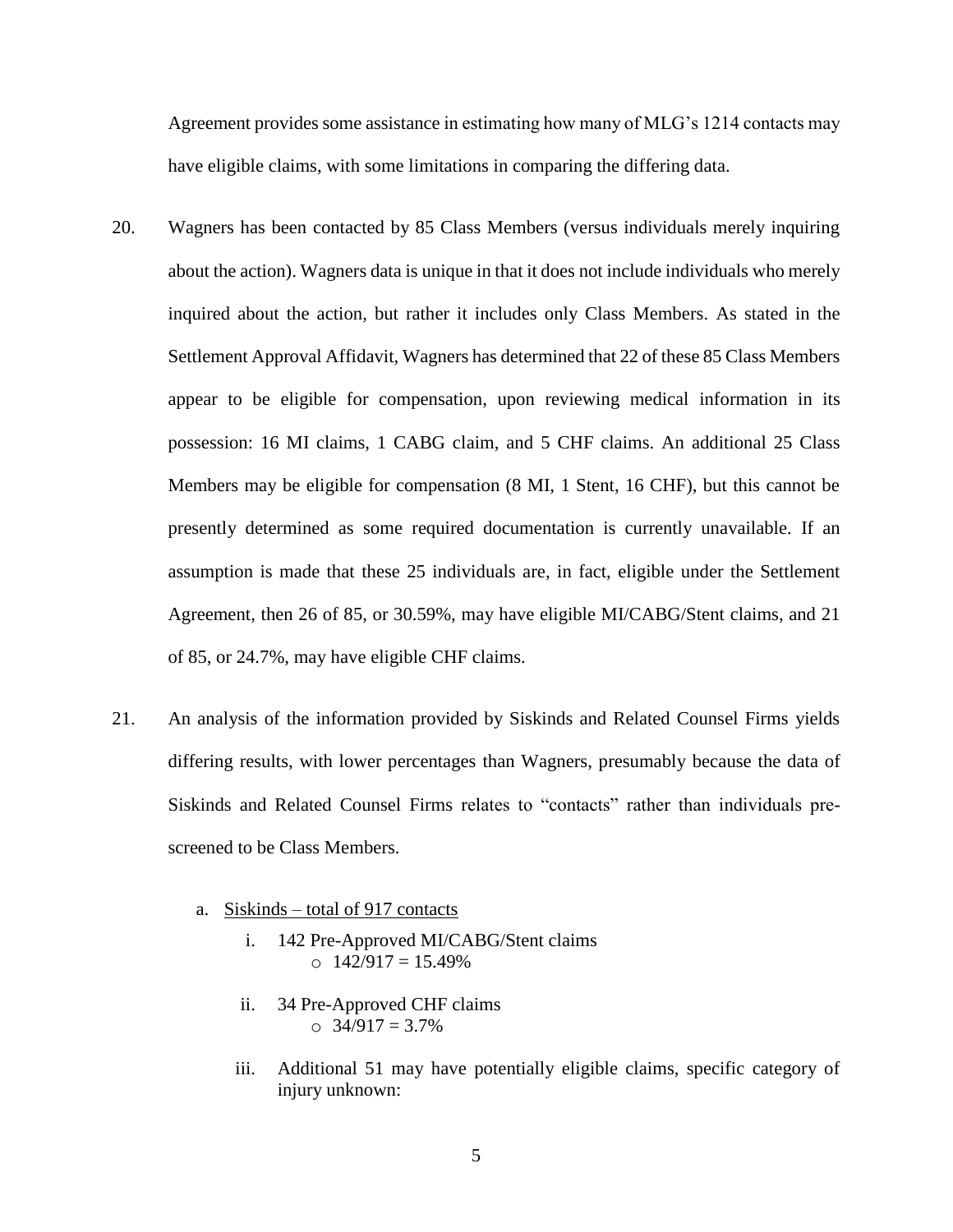Agreement provides some assistance in estimating how many of MLG's 1214 contacts may have eligible claims, with some limitations in comparing the differing data.

- 20. Wagners has been contacted by 85 Class Members (versus individuals merely inquiring about the action). Wagners data is unique in that it does not include individuals who merely inquired about the action, but rather it includes only Class Members. As stated in the Settlement Approval Affidavit, Wagners has determined that 22 of these 85 Class Members appear to be eligible for compensation, upon reviewing medical information in its possession: 16 MI claims, 1 CABG claim, and 5 CHF claims. An additional 25 Class Members may be eligible for compensation (8 MI, 1 Stent, 16 CHF), but this cannot be presently determined as some required documentation is currently unavailable. If an assumption is made that these 25 individuals are, in fact, eligible under the Settlement Agreement, then 26 of 85, or 30.59%, may have eligible MI/CABG/Stent claims, and 21 of 85, or 24.7%, may have eligible CHF claims.
- 21. An analysis of the information provided by Siskinds and Related Counsel Firms yields differing results, with lower percentages than Wagners, presumably because the data of Siskinds and Related Counsel Firms relates to "contacts" rather than individuals prescreened to be Class Members.
	- a. Siskinds total of 917 contacts
		- i. 142 Pre-Approved MI/CABG/Stent claims  $\Omega$  142/917 = 15.49%
		- ii. 34 Pre-Approved CHF claims  $\circ$  34/917 = 3.7%
		- iii. Additional 51 may have potentially eligible claims, specific category of injury unknown: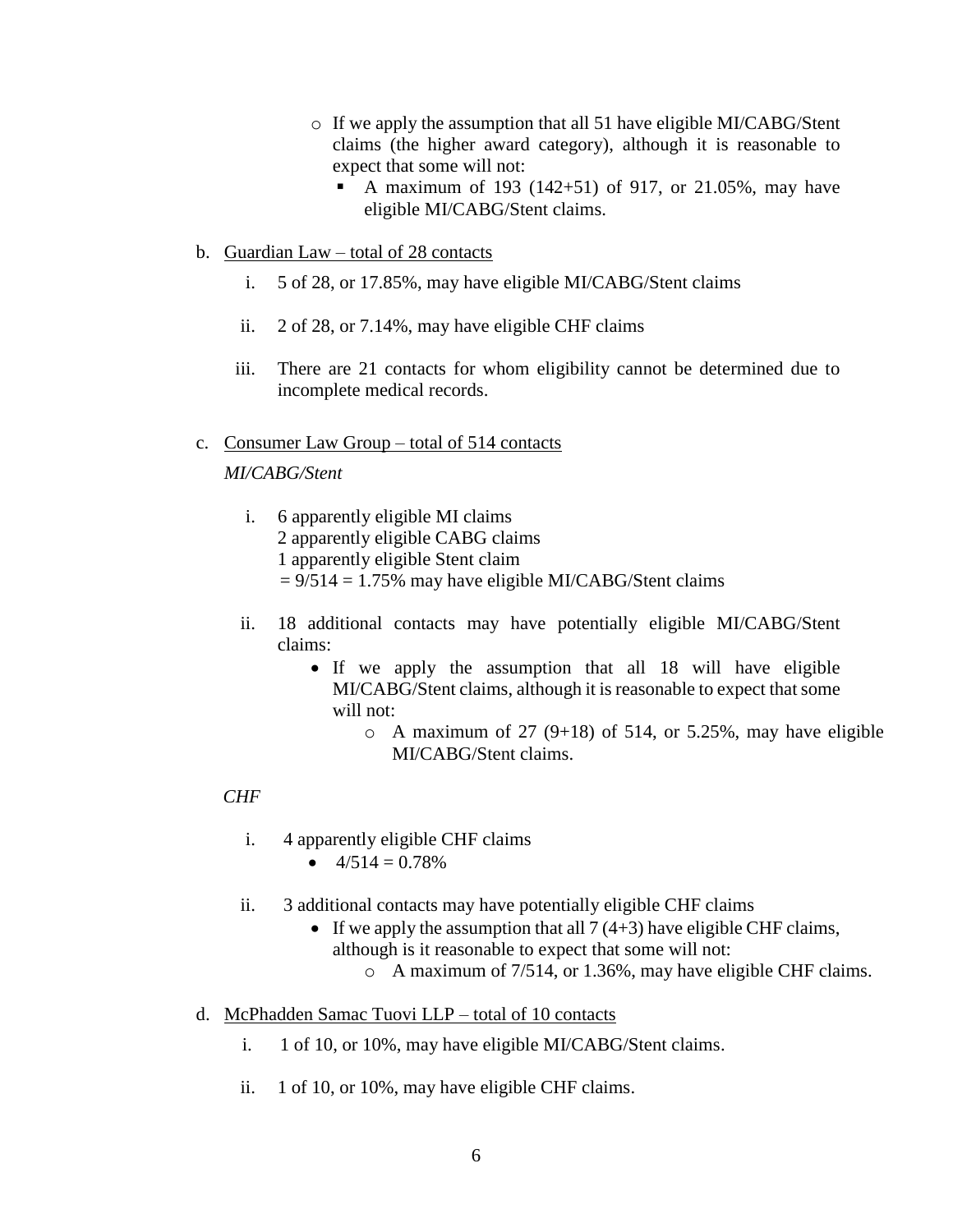- o If we apply the assumption that all 51 have eligible MI/CABG/Stent claims (the higher award category), although it is reasonable to expect that some will not:
	- **•** A maximum of 193 (142+51) of 917, or 21.05%, may have eligible MI/CABG/Stent claims.
- b. Guardian Law total of 28 contacts
	- i. 5 of 28, or 17.85%, may have eligible MI/CABG/Stent claims
	- ii. 2 of 28, or 7.14%, may have eligible CHF claims
	- iii. There are 21 contacts for whom eligibility cannot be determined due to incomplete medical records.
- c. Consumer Law Group total of 514 contacts

## *MI/CABG/Stent*

- i. 6 apparently eligible MI claims
	- 2 apparently eligible CABG claims
	- 1 apparently eligible Stent claim
	- $= 9/514 = 1.75\%$  may have eligible MI/CABG/Stent claims
- ii. 18 additional contacts may have potentially eligible MI/CABG/Stent claims:
	- If we apply the assumption that all 18 will have eligible MI/CABG/Stent claims, although it is reasonable to expect that some will not:
		- $\circ$  A maximum of 27 (9+18) of 514, or 5.25%, may have eligible MI/CABG/Stent claims.

## *CHF*

- i. 4 apparently eligible CHF claims
	- $4/514 = 0.78\%$
- ii. 3 additional contacts may have potentially eligible CHF claims
	- If we apply the assumption that all  $7(4+3)$  have eligible CHF claims, although is it reasonable to expect that some will not:
		- o A maximum of 7/514, or 1.36%, may have eligible CHF claims.
- d. McPhadden Samac Tuovi LLP total of 10 contacts
	- i. 1 of 10, or 10%, may have eligible MI/CABG/Stent claims.
	- ii. 1 of 10, or 10%, may have eligible CHF claims.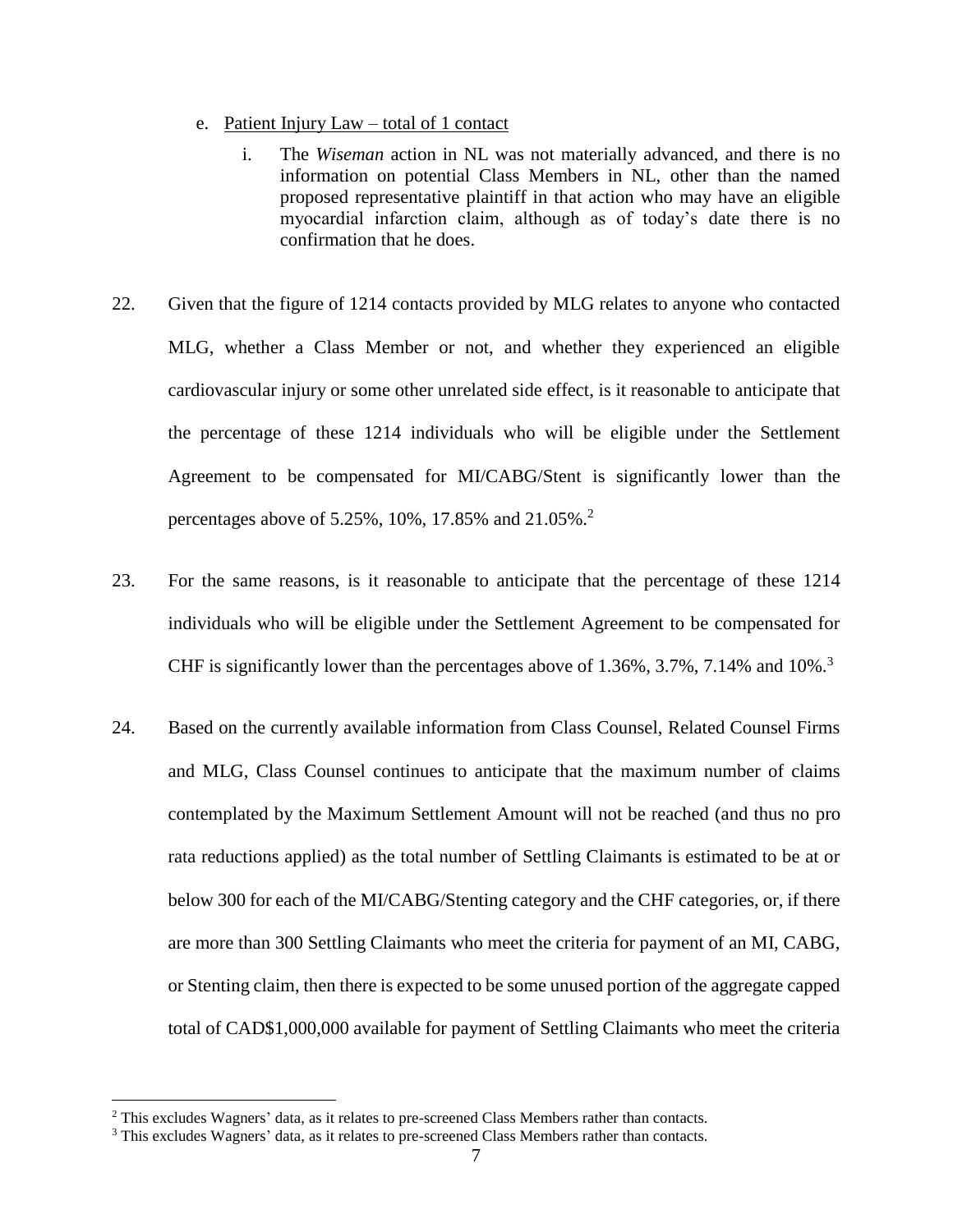- e. Patient Injury Law total of 1 contact
	- i. The *Wiseman* action in NL was not materially advanced, and there is no information on potential Class Members in NL, other than the named proposed representative plaintiff in that action who may have an eligible myocardial infarction claim, although as of today's date there is no confirmation that he does.
- 22. Given that the figure of 1214 contacts provided by MLG relates to anyone who contacted MLG, whether a Class Member or not, and whether they experienced an eligible cardiovascular injury or some other unrelated side effect, is it reasonable to anticipate that the percentage of these 1214 individuals who will be eligible under the Settlement Agreement to be compensated for MI/CABG/Stent is significantly lower than the percentages above of 5.25%, 10%, 17.85% and 21.05%. 2
- 23. For the same reasons, is it reasonable to anticipate that the percentage of these 1214 individuals who will be eligible under the Settlement Agreement to be compensated for CHF is significantly lower than the percentages above of 1.36%, 3.7%, 7.14% and 10%.<sup>3</sup>
- 24. Based on the currently available information from Class Counsel, Related Counsel Firms and MLG, Class Counsel continues to anticipate that the maximum number of claims contemplated by the Maximum Settlement Amount will not be reached (and thus no pro rata reductions applied) as the total number of Settling Claimants is estimated to be at or below 300 for each of the MI/CABG/Stenting category and the CHF categories, or, if there are more than 300 Settling Claimants who meet the criteria for payment of an MI, CABG, or Stenting claim, then there is expected to be some unused portion of the aggregate capped total of CAD\$1,000,000 available for payment of Settling Claimants who meet the criteria

 $\overline{a}$ 

<sup>2</sup> This excludes Wagners' data, as it relates to pre-screened Class Members rather than contacts.

<sup>&</sup>lt;sup>3</sup> This excludes Wagners' data, as it relates to pre-screened Class Members rather than contacts.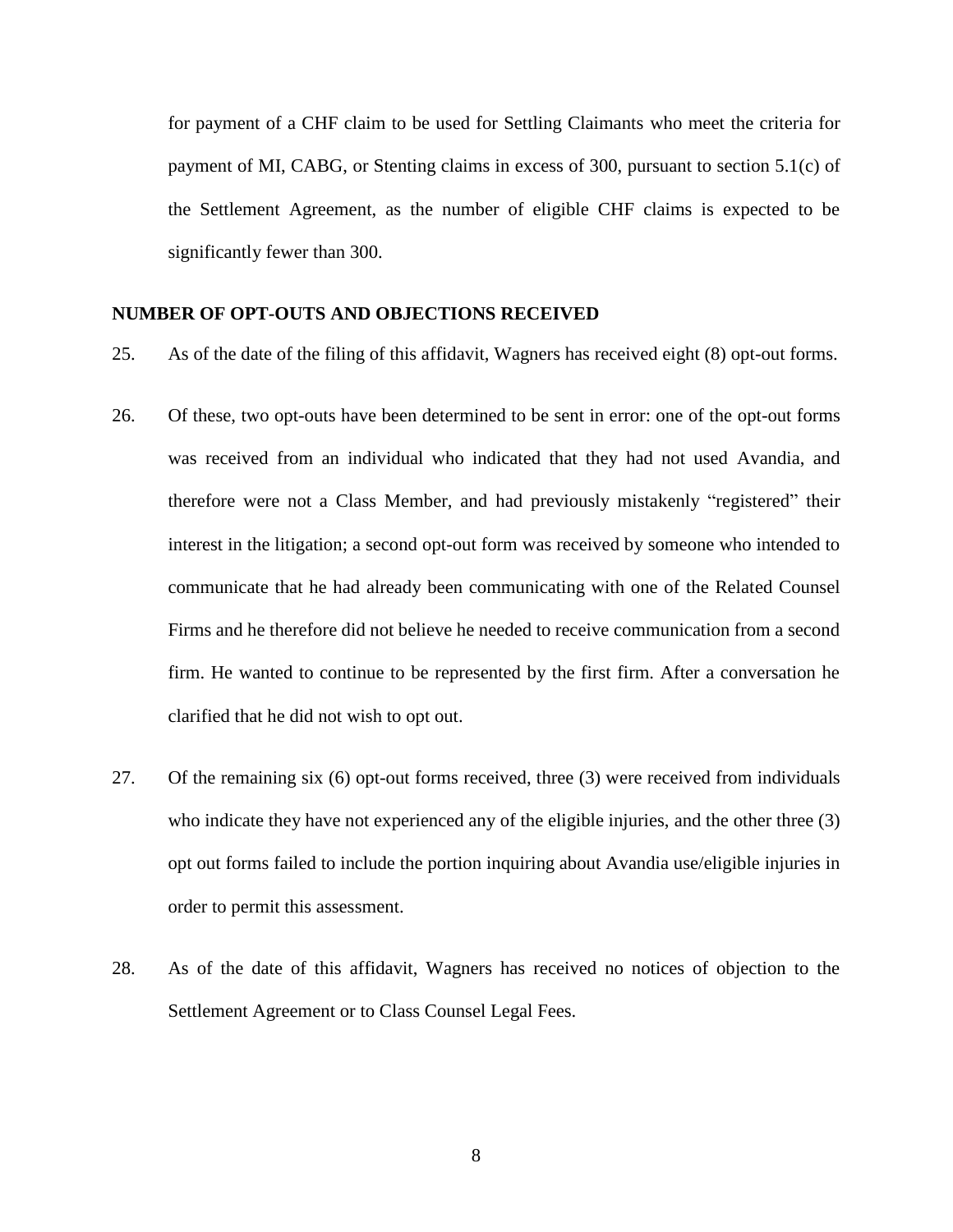for payment of a CHF claim to be used for Settling Claimants who meet the criteria for payment of MI, CABG, or Stenting claims in excess of 300, pursuant to section 5.1(c) of the Settlement Agreement, as the number of eligible CHF claims is expected to be significantly fewer than 300.

#### **NUMBER OF OPT-OUTS AND OBJECTIONS RECEIVED**

- 25. As of the date of the filing of this affidavit, Wagners has received eight (8) opt-out forms.
- 26. Of these, two opt-outs have been determined to be sent in error: one of the opt-out forms was received from an individual who indicated that they had not used Avandia, and therefore were not a Class Member, and had previously mistakenly "registered" their interest in the litigation; a second opt-out form was received by someone who intended to communicate that he had already been communicating with one of the Related Counsel Firms and he therefore did not believe he needed to receive communication from a second firm. He wanted to continue to be represented by the first firm. After a conversation he clarified that he did not wish to opt out.
- 27. Of the remaining six (6) opt-out forms received, three (3) were received from individuals who indicate they have not experienced any of the eligible injuries, and the other three (3) opt out forms failed to include the portion inquiring about Avandia use/eligible injuries in order to permit this assessment.
- 28. As of the date of this affidavit, Wagners has received no notices of objection to the Settlement Agreement or to Class Counsel Legal Fees.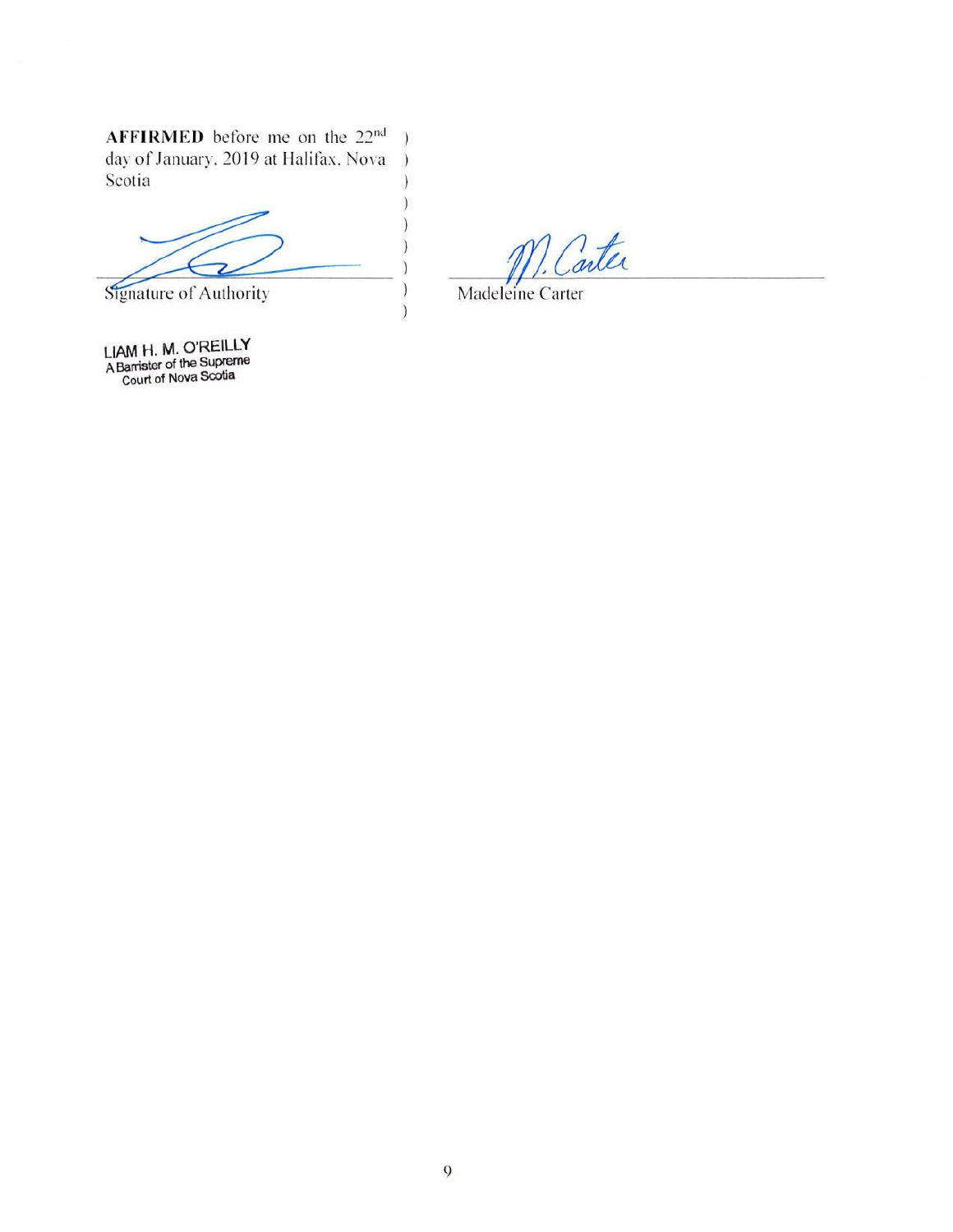**AFFIRMED** before me on the 22<sup>nd</sup> day of January, 2019 at Halifax, Nova Scotia ) )

 $\frac{1}{\text{Signature of Authority}}$ 

**LIAM H. M. O'REILLY**<br>A Barrister of the Supreme<br>Court of Nova Scotia

1 Carter

Madeleine Carter

) )

Ĭ

)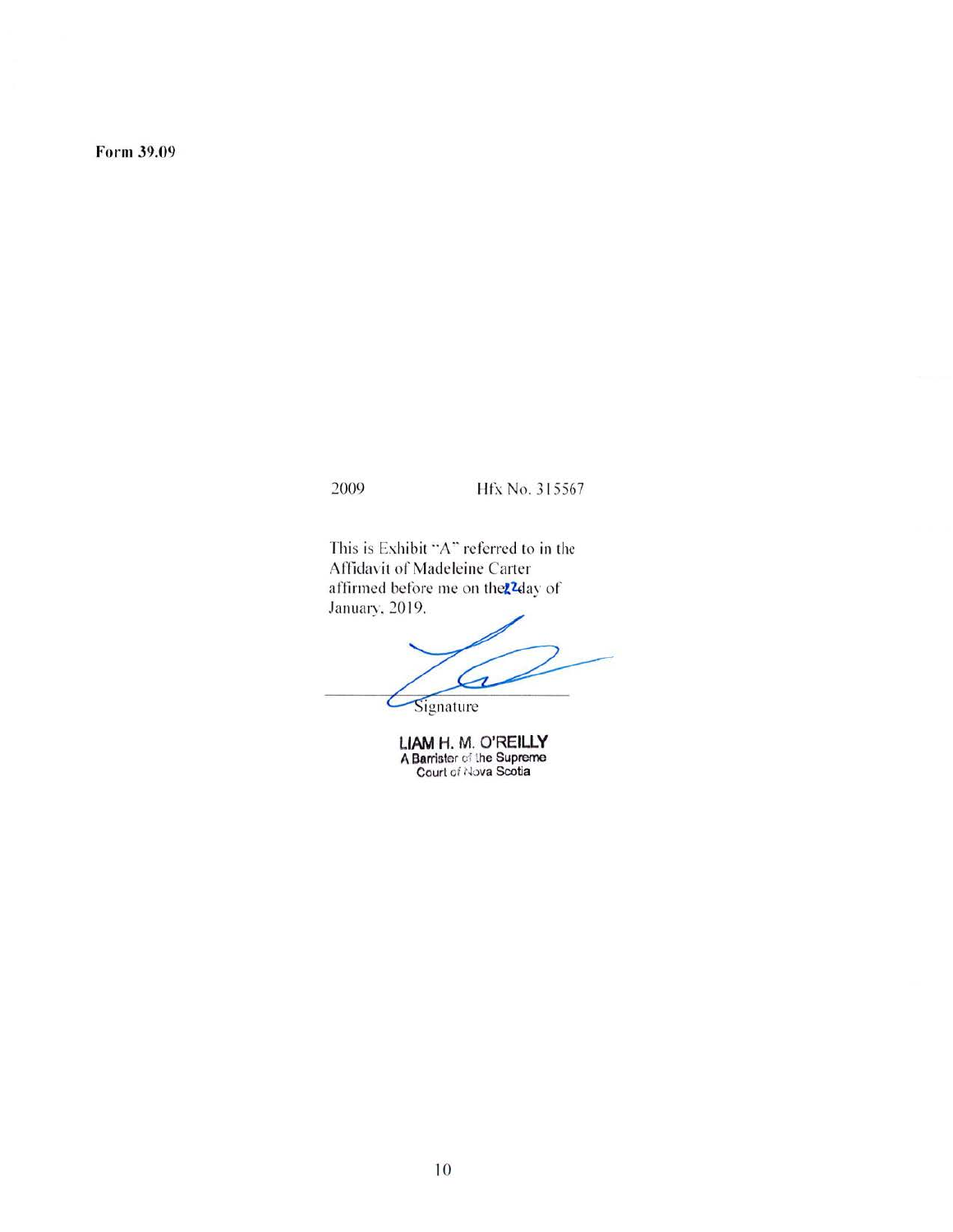Form 39.09

#### 2009 **Hfx** No. 315567

This is Exhibit "A" referred to in the Affidavit of Madeleine Carter affirmed before me on the<sup>22</sup>day of January. 20 19.

Á

Signature

**LIAM H. M. O'REILLY A** Barrister cf the Supreme Court of Nova Scotia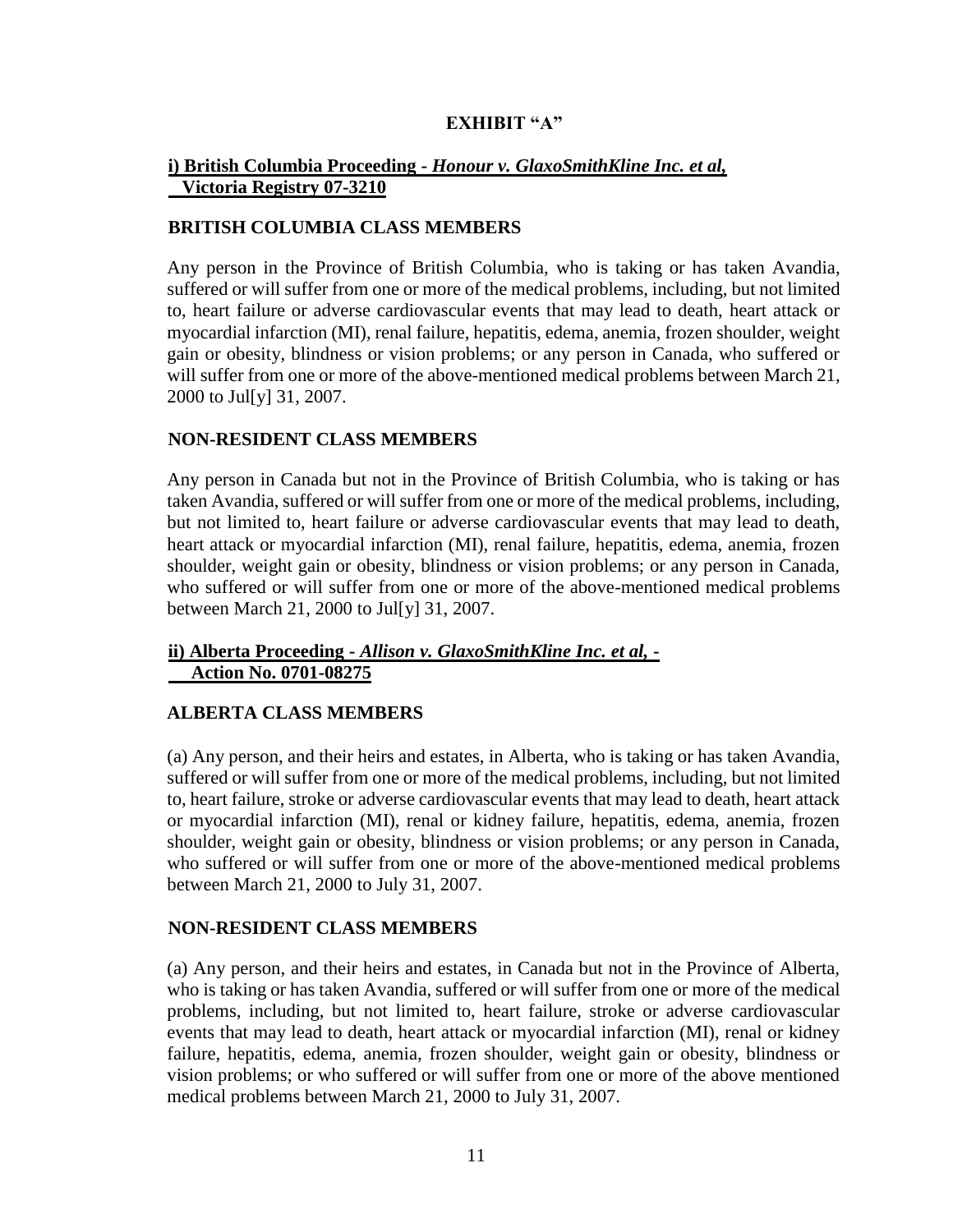## **EXHIBIT "A"**

#### **i) British Columbia Proceeding -** *Honour v. GlaxoSmithKline Inc. et al,*  **Victoria Registry 07-3210**

#### **BRITISH COLUMBIA CLASS MEMBERS**

Any person in the Province of British Columbia, who is taking or has taken Avandia, suffered or will suffer from one or more of the medical problems, including, but not limited to, heart failure or adverse cardiovascular events that may lead to death, heart attack or myocardial infarction (MI), renal failure, hepatitis, edema, anemia, frozen shoulder, weight gain or obesity, blindness or vision problems; or any person in Canada, who suffered or will suffer from one or more of the above-mentioned medical problems between March 21, 2000 to Jul[y] 31, 2007.

#### **NON-RESIDENT CLASS MEMBERS**

Any person in Canada but not in the Province of British Columbia, who is taking or has taken Avandia, suffered or will suffer from one or more of the medical problems, including, but not limited to, heart failure or adverse cardiovascular events that may lead to death, heart attack or myocardial infarction (MI), renal failure, hepatitis, edema, anemia, frozen shoulder, weight gain or obesity, blindness or vision problems; or any person in Canada, who suffered or will suffer from one or more of the above-mentioned medical problems between March 21, 2000 to Jul[y] 31, 2007.

#### **ii) Alberta Proceeding -** *Allison v. GlaxoSmithKline Inc. et al,* **- Action No. 0701-08275**

## **ALBERTA CLASS MEMBERS**

(a) Any person, and their heirs and estates, in Alberta, who is taking or has taken Avandia, suffered or will suffer from one or more of the medical problems, including, but not limited to, heart failure, stroke or adverse cardiovascular events that may lead to death, heart attack or myocardial infarction (MI), renal or kidney failure, hepatitis, edema, anemia, frozen shoulder, weight gain or obesity, blindness or vision problems; or any person in Canada, who suffered or will suffer from one or more of the above-mentioned medical problems between March 21, 2000 to July 31, 2007.

#### **NON-RESIDENT CLASS MEMBERS**

(a) Any person, and their heirs and estates, in Canada but not in the Province of Alberta, who is taking or has taken Avandia, suffered or will suffer from one or more of the medical problems, including, but not limited to, heart failure, stroke or adverse cardiovascular events that may lead to death, heart attack or myocardial infarction (MI), renal or kidney failure, hepatitis, edema, anemia, frozen shoulder, weight gain or obesity, blindness or vision problems; or who suffered or will suffer from one or more of the above mentioned medical problems between March 21, 2000 to July 31, 2007.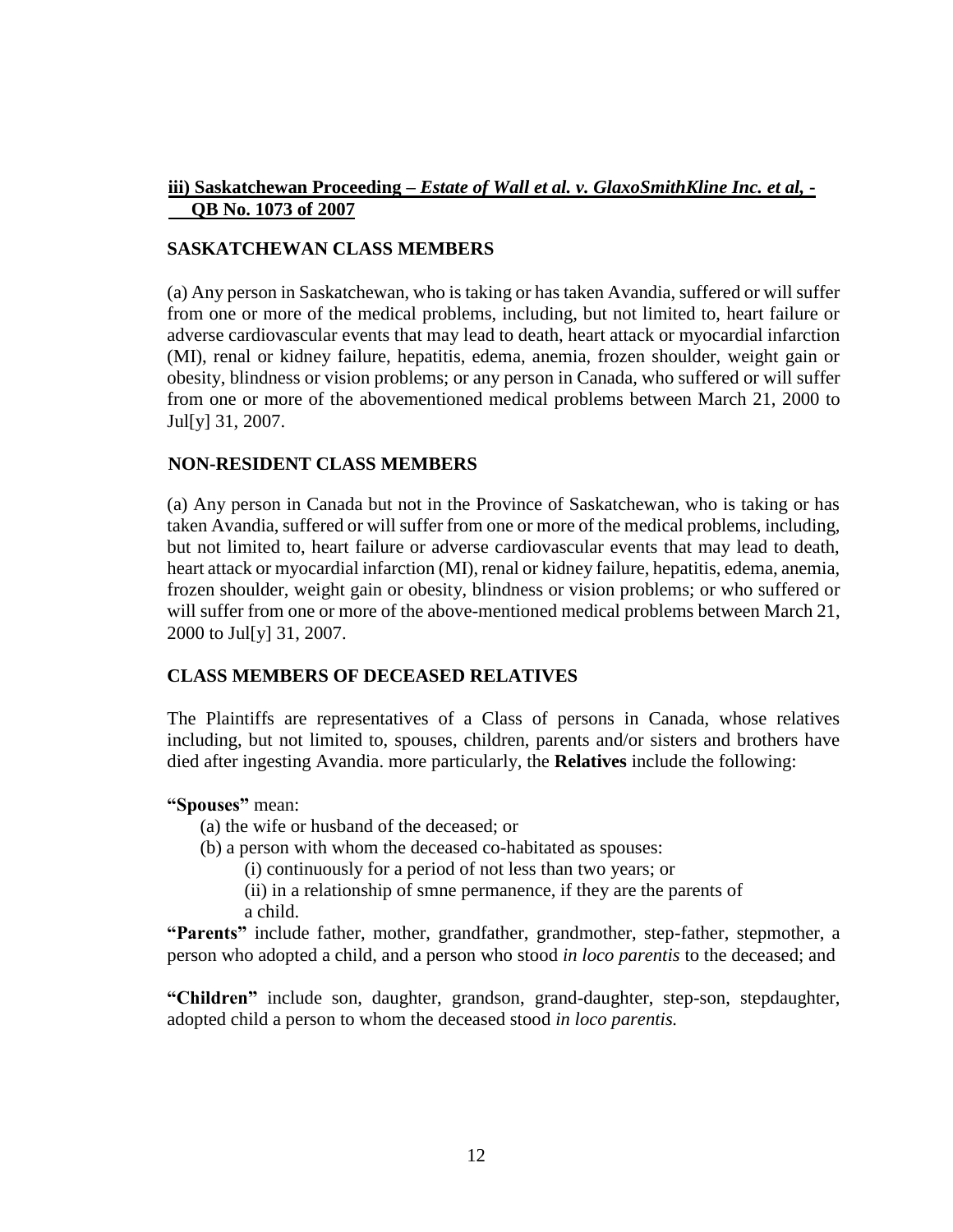#### **iii) Saskatchewan Proceeding –** *Estate of Wall et al. v. GlaxoSmithKline Inc. et al,* **- QB No. 1073 of 2007**

## **SASKATCHEWAN CLASS MEMBERS**

(a) Any person in Saskatchewan, who is taking or has taken Avandia, suffered or will suffer from one or more of the medical problems, including, but not limited to, heart failure or adverse cardiovascular events that may lead to death, heart attack or myocardial infarction (MI), renal or kidney failure, hepatitis, edema, anemia, frozen shoulder, weight gain or obesity, blindness or vision problems; or any person in Canada, who suffered or will suffer from one or more of the abovementioned medical problems between March 21, 2000 to Jul[y] 31, 2007.

#### **NON-RESIDENT CLASS MEMBERS**

(a) Any person in Canada but not in the Province of Saskatchewan, who is taking or has taken Avandia, suffered or will suffer from one or more of the medical problems, including, but not limited to, heart failure or adverse cardiovascular events that may lead to death, heart attack or myocardial infarction (MI), renal or kidney failure, hepatitis, edema, anemia, frozen shoulder, weight gain or obesity, blindness or vision problems; or who suffered or will suffer from one or more of the above-mentioned medical problems between March 21, 2000 to Jul[y] 31, 2007.

## **CLASS MEMBERS OF DECEASED RELATIVES**

The Plaintiffs are representatives of a Class of persons in Canada, whose relatives including, but not limited to, spouses, children, parents and/or sisters and brothers have died after ingesting Avandia. more particularly, the **Relatives** include the following:

#### **"Spouses"** mean:

- (a) the wife or husband of the deceased; or
- (b) a person with whom the deceased co-habitated as spouses:

(i) continuously for a period of not less than two years; or

(ii) in a relationship of smne permanence, if they are the parents of a child.

**"Parents"** include father, mother, grandfather, grandmother, step-father, stepmother, a person who adopted a child, and a person who stood *in loco parentis* to the deceased; and

**"Children"** include son, daughter, grandson, grand-daughter, step-son, stepdaughter, adopted child a person to whom the deceased stood *in loco parentis.*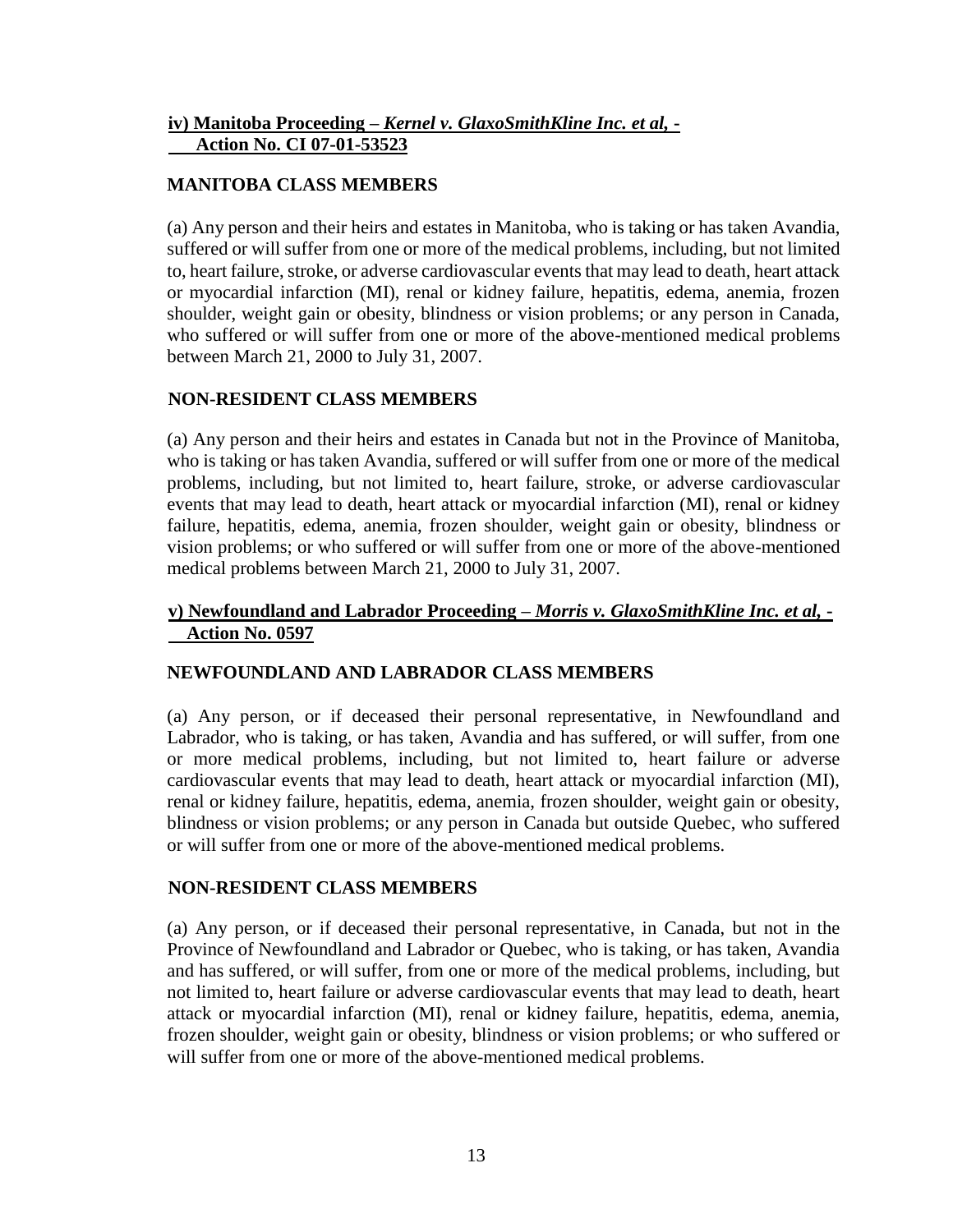## **iv) Manitoba Proceeding –** *Kernel v. GlaxoSmithKline Inc. et al,* **- Action No. CI 07-01-53523**

## **MANITOBA CLASS MEMBERS**

(a) Any person and their heirs and estates in Manitoba, who is taking or has taken Avandia, suffered or will suffer from one or more of the medical problems, including, but not limited to, heart failure, stroke, or adverse cardiovascular events that may lead to death, heart attack or myocardial infarction (MI), renal or kidney failure, hepatitis, edema, anemia, frozen shoulder, weight gain or obesity, blindness or vision problems; or any person in Canada, who suffered or will suffer from one or more of the above-mentioned medical problems between March 21, 2000 to July 31, 2007.

## **NON-RESIDENT CLASS MEMBERS**

(a) Any person and their heirs and estates in Canada but not in the Province of Manitoba, who is taking or has taken Avandia, suffered or will suffer from one or more of the medical problems, including, but not limited to, heart failure, stroke, or adverse cardiovascular events that may lead to death, heart attack or myocardial infarction (MI), renal or kidney failure, hepatitis, edema, anemia, frozen shoulder, weight gain or obesity, blindness or vision problems; or who suffered or will suffer from one or more of the above-mentioned medical problems between March 21, 2000 to July 31, 2007.

## **v) Newfoundland and Labrador Proceeding –** *Morris v. GlaxoSmithKline Inc. et al,* **- Action No. 0597**

## **NEWFOUNDLAND AND LABRADOR CLASS MEMBERS**

(a) Any person, or if deceased their personal representative, in Newfoundland and Labrador, who is taking, or has taken, Avandia and has suffered, or will suffer, from one or more medical problems, including, but not limited to, heart failure or adverse cardiovascular events that may lead to death, heart attack or myocardial infarction (MI), renal or kidney failure, hepatitis, edema, anemia, frozen shoulder, weight gain or obesity, blindness or vision problems; or any person in Canada but outside Quebec, who suffered or will suffer from one or more of the above-mentioned medical problems.

## **NON-RESIDENT CLASS MEMBERS**

(a) Any person, or if deceased their personal representative, in Canada, but not in the Province of Newfoundland and Labrador or Quebec, who is taking, or has taken, Avandia and has suffered, or will suffer, from one or more of the medical problems, including, but not limited to, heart failure or adverse cardiovascular events that may lead to death, heart attack or myocardial infarction (MI), renal or kidney failure, hepatitis, edema, anemia, frozen shoulder, weight gain or obesity, blindness or vision problems; or who suffered or will suffer from one or more of the above-mentioned medical problems.